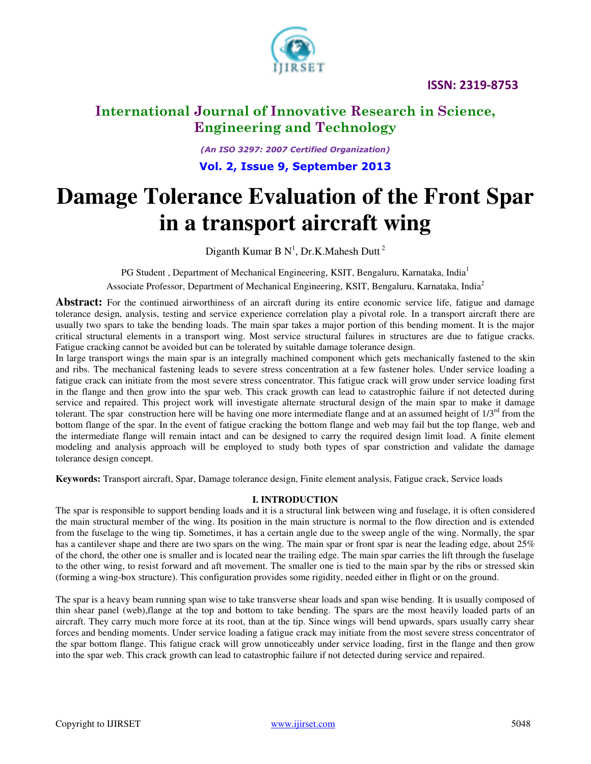

# **International Journal of Innovative Research in Science, Engineering and Technology**

*(An ISO 3297: 2007 Certified Organization)*  **Vol. 2, Issue 9, September 2013**

# **Damage Tolerance Evaluation of the Front Spar in a transport aircraft wing**

Diganth Kumar B N<sup>1</sup>, Dr.K.Mahesh Dutt<sup>2</sup>

PG Student , Department of Mechanical Engineering, KSIT, Bengaluru, Karnataka, India<sup>1</sup>

Associate Professor, Department of Mechanical Engineering, KSIT, Bengaluru, Karnataka, India<sup>2</sup>

Abstract: For the continued airworthiness of an aircraft during its entire economic service life, fatigue and damage tolerance design, analysis, testing and service experience correlation play a pivotal role. In a transport aircraft there are usually two spars to take the bending loads. The main spar takes a major portion of this bending moment. It is the major critical structural elements in a transport wing. Most service structural failures in structures are due to fatigue cracks. Fatigue cracking cannot be avoided but can be tolerated by suitable damage tolerance design.

In large transport wings the main spar is an integrally machined component which gets mechanically fastened to the skin and ribs. The mechanical fastening leads to severe stress concentration at a few fastener holes. Under service loading a fatigue crack can initiate from the most severe stress concentrator. This fatigue crack will grow under service loading first in the flange and then grow into the spar web. This crack growth can lead to catastrophic failure if not detected during service and repaired. This project work will investigate alternate structural design of the main spar to make it damage tolerant. The spar construction here will be having one more intermediate flange and at an assumed height of  $1/3<sup>rd</sup>$  from the bottom flange of the spar. In the event of fatigue cracking the bottom flange and web may fail but the top flange, web and the intermediate flange will remain intact and can be designed to carry the required design limit load. A finite element modeling and analysis approach will be employed to study both types of spar constriction and validate the damage tolerance design concept.

**Keywords:** Transport aircraft, Spar, Damage tolerance design, Finite element analysis, Fatigue crack, Service loads

### **I. INTRODUCTION**

The spar is responsible to support bending loads and it is a structural link between wing and fuselage, it is often considered the main structural member of the wing. Its position in the main structure is normal to the flow direction and is extended from the fuselage to the wing tip. Sometimes, it has a certain angle due to the sweep angle of the wing. Normally, the spar has a cantilever shape and there are two spars on the wing. The main spar or front spar is near the leading edge, about 25% of the chord, the other one is smaller and is located near the trailing edge. The main spar carries the lift through the fuselage to the other wing, to resist forward and aft movement. The smaller one is tied to the main spar by the ribs or stressed skin (forming a wing-box structure). This configuration provides some rigidity, needed either in flight or on the ground.

The spar is a heavy beam running span wise to take transverse shear loads and span wise bending. It is usually composed of thin shear panel (web),flange at the top and bottom to take bending. The spars are the most heavily loaded parts of an aircraft. They carry much more force at its root, than at the tip. Since wings will bend upwards, spars usually carry shear forces and bending moments. Under service loading a fatigue crack may initiate from the most severe stress concentrator of the spar bottom flange. This fatigue crack will grow unnoticeably under service loading, first in the flange and then grow into the spar web. This crack growth can lead to catastrophic failure if not detected during service and repaired.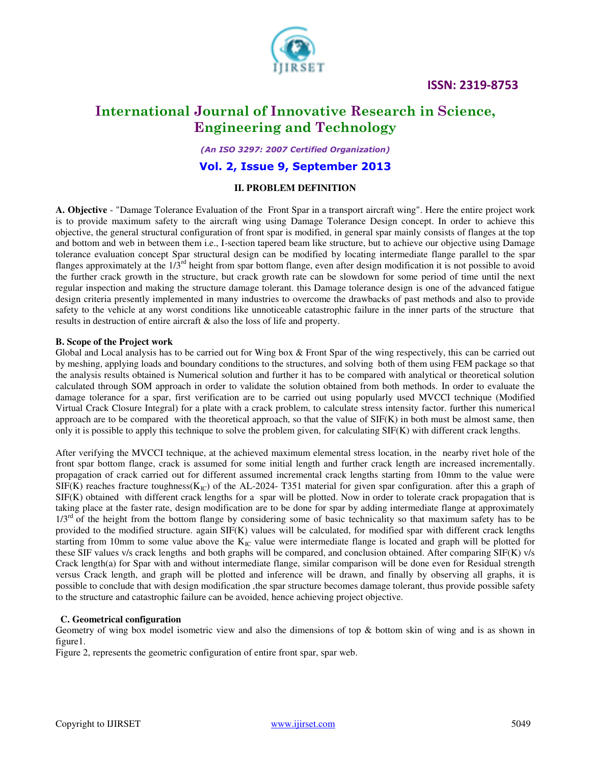

# **International Journal of Innovative Research in Science, Engineering and Technology**

*(An ISO 3297: 2007 Certified Organization)* 

### **Vol. 2, Issue 9, September 2013**

### **II. PROBLEM DEFINITION**

**A. Objective** - "Damage Tolerance Evaluation of the Front Spar in a transport aircraft wing". Here the entire project work is to provide maximum safety to the aircraft wing using Damage Tolerance Design concept. In order to achieve this objective, the general structural configuration of front spar is modified, in general spar mainly consists of flanges at the top and bottom and web in between them i.e., I-section tapered beam like structure, but to achieve our objective using Damage tolerance evaluation concept Spar structural design can be modified by locating intermediate flange parallel to the spar flanges approximately at the  $1/\overline{3}^{rd}$  height from spar bottom flange, even after design modification it is not possible to avoid the further crack growth in the structure, but crack growth rate can be slowdown for some period of time until the next regular inspection and making the structure damage tolerant. this Damage tolerance design is one of the advanced fatigue design criteria presently implemented in many industries to overcome the drawbacks of past methods and also to provide safety to the vehicle at any worst conditions like unnoticeable catastrophic failure in the inner parts of the structure that results in destruction of entire aircraft & also the loss of life and property.

#### **B. Scope of the Project work**

Global and Local analysis has to be carried out for Wing box & Front Spar of the wing respectively, this can be carried out by meshing, applying loads and boundary conditions to the structures, and solving both of them using FEM package so that the analysis results obtained is Numerical solution and further it has to be compared with analytical or theoretical solution calculated through SOM approach in order to validate the solution obtained from both methods. In order to evaluate the damage tolerance for a spar, first verification are to be carried out using popularly used MVCCI technique (Modified Virtual Crack Closure Integral) for a plate with a crack problem, to calculate stress intensity factor. further this numerical approach are to be compared with the theoretical approach, so that the value of SIF(K) in both must be almost same, then only it is possible to apply this technique to solve the problem given, for calculating SIF(K) with different crack lengths.

After verifying the MVCCI technique, at the achieved maximum elemental stress location, in the nearby rivet hole of the front spar bottom flange, crack is assumed for some initial length and further crack length are increased incrementally. propagation of crack carried out for different assumed incremental crack lengths starting from 10mm to the value were  $SIF(K)$  reaches fracture toughness( $K_{IC}$ ) of the AL-2024- T351 material for given spar configuration. after this a graph of  $SIF(K)$  obtained with different crack lengths for a spar will be plotted. Now in order to tolerate crack propagation that is taking place at the faster rate, design modification are to be done for spar by adding intermediate flange at approximately  $1/3<sup>rd</sup>$  of the height from the bottom flange by considering some of basic technicality so that maximum safety has to be provided to the modified structure. again SIF(K) values will be calculated, for modified spar with different crack lengths starting from 10mm to some value above the  $K_{IC}$  value were intermediate flange is located and graph will be plotted for these SIF values v/s crack lengths and both graphs will be compared, and conclusion obtained. After comparing SIF(K) v/s Crack length(a) for Spar with and without intermediate flange, similar comparison will be done even for Residual strength versus Crack length, and graph will be plotted and inference will be drawn, and finally by observing all graphs, it is possible to conclude that with design modification ,the spar structure becomes damage tolerant, thus provide possible safety to the structure and catastrophic failure can be avoided, hence achieving project objective.

#### **C. Geometrical configuration**

Geometry of wing box model isometric view and also the dimensions of top & bottom skin of wing and is as shown in figure1.

Figure 2, represents the geometric configuration of entire front spar, spar web.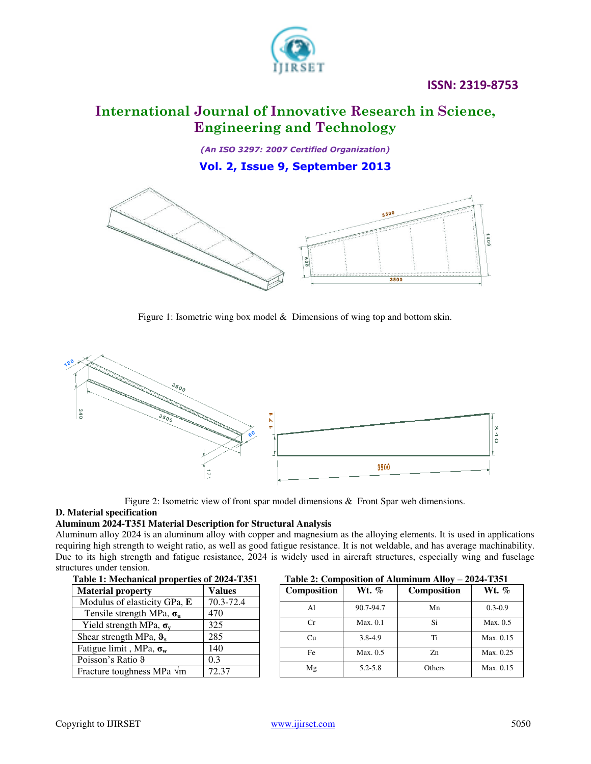

# **International Journal of Innovative Research in Science, Engineering and Technology**

*(An ISO 3297: 2007 Certified Organization)*  **Vol. 2, Issue 9, September 2013**



Figure 1: Isometric wing box model & Dimensions of wing top and bottom skin.



Figure 2: Isometric view of front spar model dimensions & Front Spar web dimensions.

### **D. Material specification**

### **Aluminum 2024-T351 Material Description for Structural Analysis**

Aluminum alloy 2024 is an aluminum alloy with copper and magnesium as the alloying elements. It is used in applications requiring high strength to weight ratio, as well as good fatigue resistance. It is not weldable, and has average machinability. Due to its high strength and fatigue resistance, 2024 is widely used in aircraft structures, especially wing and fuselage structures under tension.

| Table 1: Mechanical properties of 2024-1351 |               |  |
|---------------------------------------------|---------------|--|
| <b>Material property</b>                    | <b>Values</b> |  |
| Modulus of elasticity GPa, E                | 70.3-72.4     |  |
| Tensile strength MPa, $\sigma_u$            | 470           |  |
| Yield strength MPa, $\sigma_v$              | 325           |  |
| Shear strength MPa, $\theta_s$              | 285           |  |
| Fatigue limit, MPa, $\sigma_w$              | 140           |  |
| Poisson's Ratio 9                           | 0.3           |  |
| Fracture toughness MPa $\sqrt{m}$           | 72.37         |  |

### **Table 1: Mechanical properties of 2024-T351 Table 2: Composition of Aluminum Alloy – 2024-T351**

| <b>Composition</b> | Wt. %       | <b>Composition</b> | Wt. %       |
|--------------------|-------------|--------------------|-------------|
| Al                 | 90.7-94.7   | Mn                 | $0.3 - 0.9$ |
| Cr                 | Max. 0.1    | Si                 | Max. 0.5    |
| Cu                 | 3.8-4.9     | Ti                 | Max. 0.15   |
| Fe                 | Max. 0.5    | Z <sub>n</sub>     | Max. 0.25   |
| Mg                 | $5.2 - 5.8$ | Others             | Max. 0.15   |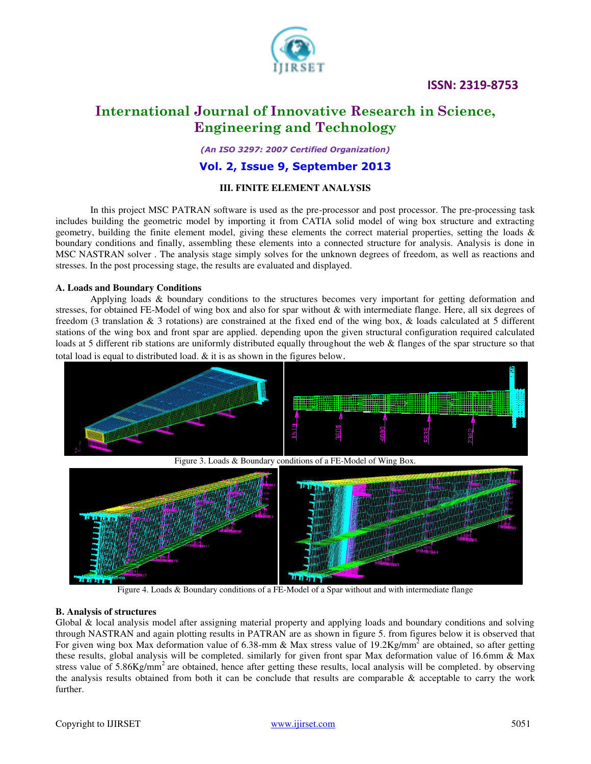



# **International Journal of Innovative Research in Science, Engineering and Technology**

*(An ISO 3297: 2007 Certified Organization)* 

### **Vol. 2, Issue 9, September 2013**

### **III. FINITE ELEMENT ANALYSIS**

 In this project MSC PATRAN software is used as the pre-processor and post processor. The pre-processing task includes building the geometric model by importing it from CATIA solid model of wing box structure and extracting geometry, building the finite element model, giving these elements the correct material properties, setting the loads  $\&$ boundary conditions and finally, assembling these elements into a connected structure for analysis. Analysis is done in MSC NASTRAN solver . The analysis stage simply solves for the unknown degrees of freedom, as well as reactions and stresses. In the post processing stage, the results are evaluated and displayed.

#### **A. Loads and Boundary Conditions**

 Applying loads & boundary conditions to the structures becomes very important for getting deformation and stresses, for obtained FE-Model of wing box and also for spar without & with intermediate flange. Here, all six degrees of freedom (3 translation & 3 rotations) are constrained at the fixed end of the wing box, & loads calculated at 5 different stations of the wing box and front spar are applied. depending upon the given structural configuration required calculated loads at 5 different rib stations are uniformly distributed equally throughout the web & flanges of the spar structure so that total load is equal to distributed load. & it is as shown in the figures below.



Figure 4. Loads & Boundary conditions of a FE-Model of a Spar without and with intermediate flange

#### **B. Analysis of structures**

Global & local analysis model after assigning material property and applying loads and boundary conditions and solving through NASTRAN and again plotting results in PATRAN are as shown in figure 5. from figures below it is observed that For given wing box Max deformation value of 6.38-mm & Max stress value of 19.2Kg/mm<sup>2</sup> are obtained, so after getting these results, global analysis will be completed. similarly for given front spar Max deformation value of 16.6mm & Max stress value of  $5.86\text{Kg/mm}^2$  are obtained, hence after getting these results, local analysis will be completed. by observing the analysis results obtained from both it can be conclude that results are comparable & acceptable to carry the work further.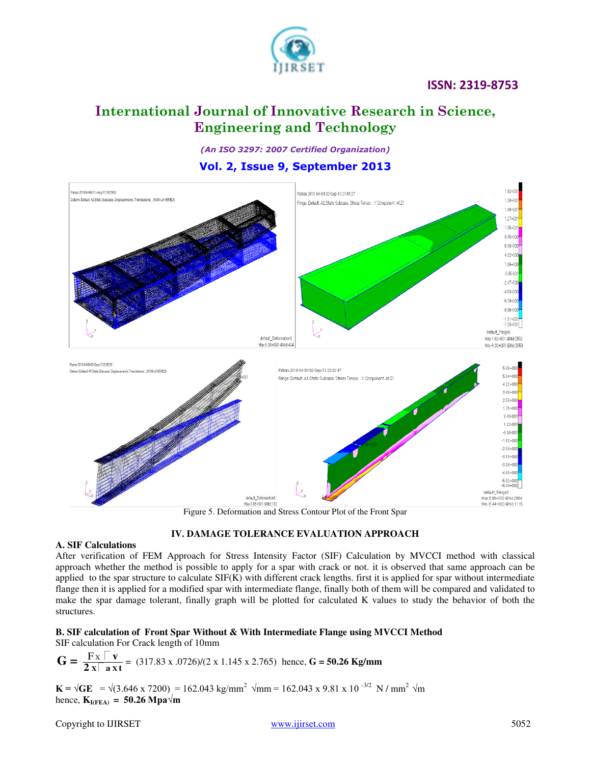

# **International Journal of Innovative Research in Science, Engineering and Technology**

*(An ISO 3297: 2007 Certified Organization)* 

## **Vol. 2, Issue 9, September 2013**



Figure 5. Deformation and Stress Contour Plot of the Front Spar

### **IV. DAMAGE TOLERANCE EVALUATION APPROACH**

### **A. SIF Calculations**

After verification of FEM Approach for Stress Intensity Factor (SIF) Calculation by MVCCI method with classical approach whether the method is possible to apply for a spar with crack or not. it is observed that same approach can be applied to the spar structure to calculate SIF(K) with different crack lengths. first it is applied for spar without intermediate flange then it is applied for a modified spar with intermediate flange, finally both of them will be compared and validated to make the spar damage tolerant, finally graph will be plotted for calculated K values to study the behavior of both the structures.

#### **B. SIF calculation of Front Spar Without & With Intermediate Flange using MVCCI Method** SIF calculation For Crack length of 10mm

$$
G = \frac{F \times \Box v}{2 \times \Box a \times t} = (317.83 \times .0726)/(2 \times 1.145 \times 2.765)
$$
 hence, G = 50.26 Kg/mm

 $\mathbf{K} = \sqrt{\mathbf{G}\mathbf{E}} = \sqrt{(3.646 \times 7200)} = 162.043 \text{ kg/mm}^2 \sqrt{\mathbf{m}} = 162.043 \times 9.81 \times 10^{-3/2} \text{ N/mm}^2 \sqrt{\mathbf{m}}$ hence,  $K_{I(FEA)} = 50.26$  Mpa $\sqrt{m}$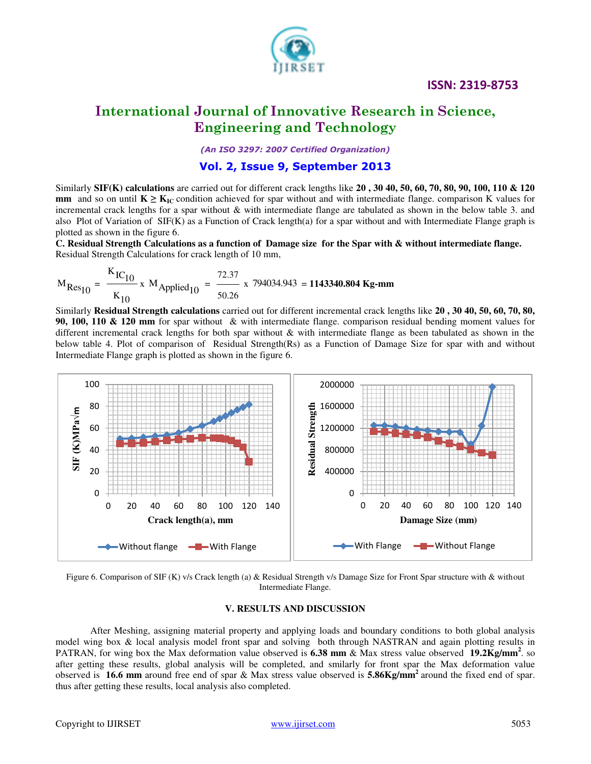

# **International Journal of Innovative Research in Science, Engineering and Technology**

*(An ISO 3297: 2007 Certified Organization)* 

# **Vol. 2, Issue 9, September 2013**

Similarly **SIF(K) calculations** are carried out for different crack lengths like **20 , 30 40, 50, 60, 70, 80, 90, 100, 110 & 120 mm** and so on until  $K \geq K_{IC}$  condition achieved for spar without and with intermediate flange. comparison K values for incremental crack lengths for a spar without & with intermediate flange are tabulated as shown in the below table 3. and also Plot of Variation of SIF(K) as a Function of Crack length(a) for a spar without and with Intermediate Flange graph is plotted as shown in the figure 6.

**C. Residual Strength Calculations as a function of Damage size for the Spar with & without intermediate flange.**  Residual Strength Calculations for crack length of 10 mm,

$$
M_{\text{Res}_{10}} = \frac{K_{\text{IC}_{10}}}{K_{10}} \times M_{\text{Applied}_{10}} = \frac{72.37}{50.26} \times 794034.943 = 1143340.804 \text{ kg-mm}
$$

Similarly **Residual Strength calculations** carried out for different incremental crack lengths like **20 , 30 40, 50, 60, 70, 80, 90, 100, 110 & 120 mm** for spar without & with intermediate flange. comparison residual bending moment values for different incremental crack lengths for both spar without & with intermediate flange as been tabulated as shown in the below table 4. Plot of comparison of Residual Strength(Rs) as a Function of Damage Size for spar with and without Intermediate Flange graph is plotted as shown in the figure 6.





#### **V. RESULTS AND DISCUSSION**

 After Meshing, assigning material property and applying loads and boundary conditions to both global analysis model wing box & local analysis model front spar and solving both through NASTRAN and again plotting results in PATRAN, for wing box the Max deformation value observed is **6.38 mm** & Max stress value observed **19.2Kg/mm<sup>2</sup>**. so after getting these results, global analysis will be completed, and smilarly for front spar the Max deformation value observed is **16.6 mm** around free end of spar & Max stress value observed is **5.86Kg/mm<sup>2</sup>**around the fixed end of spar. thus after getting these results, local analysis also completed.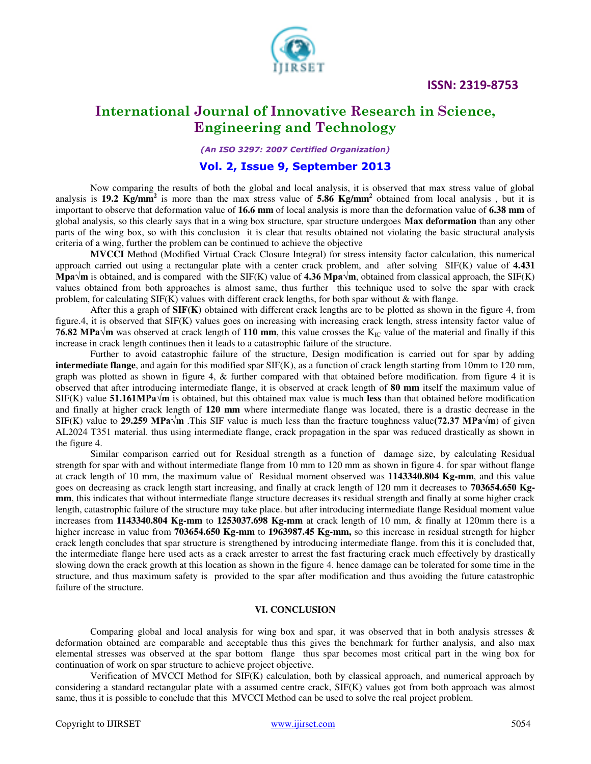

# **International Journal of Innovative Research in Science, Engineering and Technology**

*(An ISO 3297: 2007 Certified Organization)* 

# **Vol. 2, Issue 9, September 2013**

 Now comparing the results of both the global and local analysis, it is observed that max stress value of global analysis is **19.2 Kg/mm<sup>2</sup>** is more than the max stress value of **5.86 Kg/mm<sup>2</sup>** obtained from local analysis, but it is important to observe that deformation value of **16.6 mm** of local analysis is more than the deformation value of **6.38 mm** of global analysis, so this clearly says that in a wing box structure, spar structure undergoes **Max deformation** than any other parts of the wing box, so with this conclusion it is clear that results obtained not violating the basic structural analysis criteria of a wing, further the problem can be continued to achieve the objective

 **MVCCI** Method (Modified Virtual Crack Closure Integral) for stress intensity factor calculation, this numerical approach carried out using a rectangular plate with a center crack problem, and after solving SIF(K) value of **4.431 Mpa** $\forall$ **m** is obtained, and is compared with the SIF(K) value of **4.36 Mpa** $\forall$ **m**, obtained from classical approach, the SIF(K) values obtained from both approaches is almost same, thus further this technique used to solve the spar with crack problem, for calculating  $SIF(K)$  values with different crack lengths, for both spar without  $\&$  with flange.

 After this a graph of **SIF(K)** obtained with different crack lengths are to be plotted as shown in the figure 4, from figure.4, it is observed that SIF(K) values goes on increasing with increasing crack length, stress intensity factor value of **76.82 MPa√m** was observed at crack length of 110 mm, this value crosses the K<sub>IC</sub> value of the material and finally if this increase in crack length continues then it leads to a catastrophic failure of the structure.

 Further to avoid catastrophic failure of the structure, Design modification is carried out for spar by adding **intermediate flange**, and again for this modified spar SIF(K), as a function of crack length starting from 10mm to 120 mm, graph was plotted as shown in figure 4, & further compared with that obtained before modification. from figure 4 it is observed that after introducing intermediate flange, it is observed at crack length of **80 mm** itself the maximum value of SIF(K) value **51.161MPa√m** is obtained, but this obtained max value is much **less** than that obtained before modification and finally at higher crack length of **120 mm** where intermediate flange was located, there is a drastic decrease in the SIF(K) value to **29.259 MPa√m** .This SIF value is much less than the fracture toughness value**(72.37 MPa√m**) of given AL2024 T351 material. thus using intermediate flange, crack propagation in the spar was reduced drastically as shown in the figure 4.

 Similar comparison carried out for Residual strength as a function of damage size, by calculating Residual strength for spar with and without intermediate flange from 10 mm to 120 mm as shown in figure 4. for spar without flange at crack length of 10 mm, the maximum value of Residual moment observed was **1143340.804 Kg-mm**, and this value goes on decreasing as crack length start increasing, and finally at crack length of 120 mm it decreases to **703654.650 Kgmm**, this indicates that without intermediate flange structure decreases its residual strength and finally at some higher crack length, catastrophic failure of the structure may take place. but after introducing intermediate flange Residual moment value increases from **1143340.804 Kg-mm** to **1253037.698 Kg-mm** at crack length of 10 mm, & finally at 120mm there is a higher increase in value from **703654.650 Kg-mm** to **1963987.45 Kg-mm,** so this increase in residual strength for higher crack length concludes that spar structure is strengthened by introducing intermediate flange. from this it is concluded that, the intermediate flange here used acts as a crack arrester to arrest the fast fracturing crack much effectively by drastically slowing down the crack growth at this location as shown in the figure 4. hence damage can be tolerated for some time in the structure, and thus maximum safety is provided to the spar after modification and thus avoiding the future catastrophic failure of the structure.

### **VI. CONCLUSION**

Comparing global and local analysis for wing box and spar, it was observed that in both analysis stresses  $\&$ deformation obtained are comparable and acceptable thus this gives the benchmark for further analysis, and also max elemental stresses was observed at the spar bottom flange thus spar becomes most critical part in the wing box for continuation of work on spar structure to achieve project objective.

 Verification of MVCCI Method for SIF(K) calculation, both by classical approach, and numerical approach by considering a standard rectangular plate with a assumed centre crack, SIF(K) values got from both approach was almost same, thus it is possible to conclude that this MVCCI Method can be used to solve the real project problem.